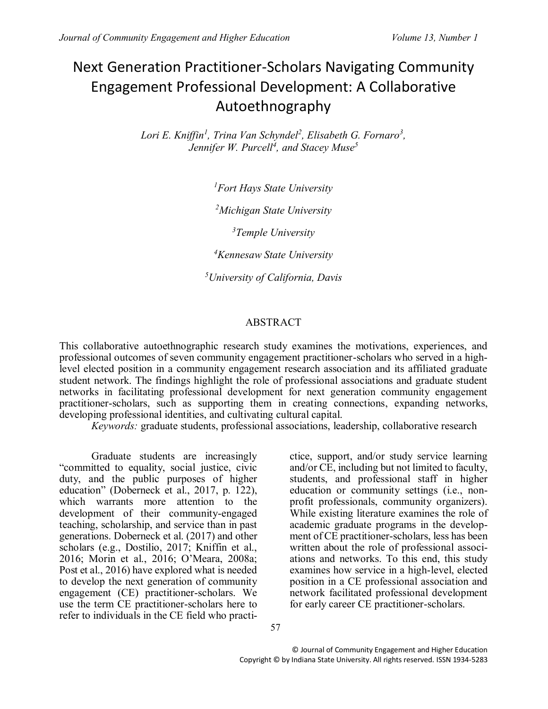# Next Generation Practitioner-Scholars Navigating Community Engagement Professional Development: A Collaborative Autoethnography

Lori E. Kniffin<sup>1</sup>, Trina Van Schyndel<sup>2</sup>, Elisabeth G. Fornaro<sup>3</sup>, *Jennifer W. Purcell<sup>4</sup> , and Stacey Muse<sup>5</sup>*

*<sup>1</sup>Fort Hays State University*

*<sup>2</sup>Michigan State University*

*<sup>3</sup>Temple University*

*<sup>4</sup>Kennesaw State University*

*<sup>5</sup>University of California, Davis*

### ABSTRACT

This collaborative autoethnographic research study examines the motivations, experiences, and professional outcomes of seven community engagement practitioner-scholars who served in a highlevel elected position in a community engagement research association and its affiliated graduate student network. The findings highlight the role of professional associations and graduate student networks in facilitating professional development for next generation community engagement practitioner-scholars, such as supporting them in creating connections, expanding networks, developing professional identities, and cultivating cultural capital.

*Keywords:* graduate students, professional associations, leadership, collaborative research

Graduate students are increasingly "committed to equality, social justice, civic duty, and the public purposes of higher education" (Doberneck et al., 2017, p. 122), which warrants more attention to the development of their community-engaged teaching, scholarship, and service than in past generations. Doberneck et al. (2017) and other scholars (e.g., Dostilio, 2017; Kniffin et al., 2016; Morin et al., 2016; O'Meara, 2008a; Post et al., 2016) have explored what is needed to develop the next generation of community engagement (CE) practitioner-scholars. We use the term CE practitioner-scholars here to refer to individuals in the CE field who practi-

ctice, support, and/or study service learning and/or CE, including but not limited to faculty, students, and professional staff in higher education or community settings (i.e., nonprofit professionals, community organizers). While existing literature examines the role of academic graduate programs in the development of CE practitioner-scholars, less has been written about the role of professional associations and networks. To this end, this study examines how service in a high-level, elected position in a CE professional association and network facilitated professional development for early career CE practitioner-scholars.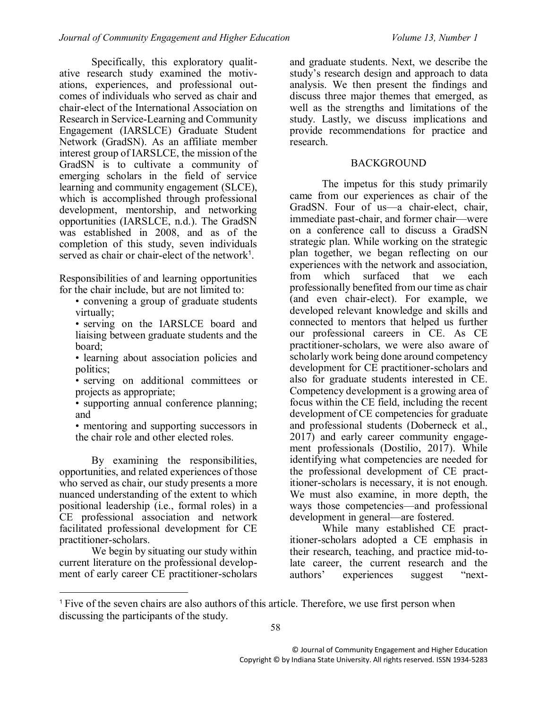Specifically, this exploratory qualitative research study examined the motivations, experiences, and professional outcomes of individuals who served as chair and chair-elect of the International Association on Research in Service-Learning and Community Engagement (IARSLCE) Graduate Student Network (GradSN). As an affiliate member interest group of IARSLCE, the mission of the GradSN is to cultivate a community of emerging scholars in the field of service learning and community engagement (SLCE), which is accomplished through professional development, mentorship, and networking opportunities (IARSLCE, n.d.). The GradSN was established in 2008, and as of the completion of this study, seven individuals served as chair or chair-elect of the network<sup>1</sup>.

Responsibilities of and learning opportunities for the chair include, but are not limited to:

• convening a group of graduate students virtually;

• serving on the IARSLCE board and liaising between graduate students and the board;

• learning about association policies and politics;

• serving on additional committees or projects as appropriate;

• supporting annual conference planning; and

• mentoring and supporting successors in the chair role and other elected roles.

By examining the responsibilities, opportunities, and related experiences of those who served as chair, our study presents a more nuanced understanding of the extent to which positional leadership (i.e., formal roles) in a CE professional association and network facilitated professional development for CE practitioner-scholars.

We begin by situating our study within current literature on the professional development of early career CE practitioner-scholars

 $\overline{a}$ 

and graduate students. Next, we describe the study's research design and approach to data analysis. We then present the findings and discuss three major themes that emerged, as well as the strengths and limitations of the study. Lastly, we discuss implications and provide recommendations for practice and research.

### **BACKGROUND**

The impetus for this study primarily came from our experiences as chair of the GradSN. Four of us—a chair-elect, chair, immediate past-chair, and former chair—were on a conference call to discuss a GradSN strategic plan. While working on the strategic plan together, we began reflecting on our experiences with the network and association, from which surfaced that we each professionally benefited from our time as chair (and even chair-elect). For example, we developed relevant knowledge and skills and connected to mentors that helped us further our professional careers in CE. As CE practitioner-scholars, we were also aware of scholarly work being done around competency development for CE practitioner-scholars and also for graduate students interested in CE. Competency development is a growing area of focus within the CE field, including the recent development of CE competencies for graduate and professional students (Doberneck et al., 2017) and early career community engagement professionals (Dostilio, 2017). While identifying what competencies are needed for the professional development of CE practitioner-scholars is necessary, it is not enough. We must also examine, in more depth, the ways those competencies—and professional development in general—are fostered.

While many established CE practitioner-scholars adopted a CE emphasis in their research, teaching, and practice mid-tolate career, the current research and the authors' experiences suggest "next-

58

<sup>1</sup> Five of the seven chairs are also authors of this article. Therefore, we use first person when discussing the participants of the study.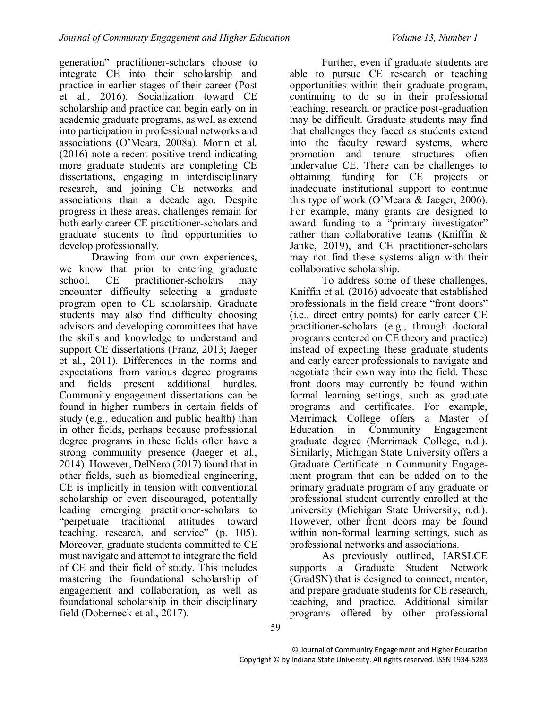generation" practitioner-scholars choose to integrate CE into their scholarship and practice in earlier stages of their career (Post et al., 2016). Socialization toward CE scholarship and practice can begin early on in academic graduate programs, as well as extend into participation in professional networks and associations (O'Meara, 2008a). Morin et al. (2016) note a recent positive trend indicating more graduate students are completing CE dissertations, engaging in interdisciplinary research, and joining CE networks and associations than a decade ago. Despite progress in these areas, challenges remain for both early career CE practitioner-scholars and graduate students to find opportunities to develop professionally.

Drawing from our own experiences, we know that prior to entering graduate school, CE practitioner-scholars may encounter difficulty selecting a graduate program open to CE scholarship. Graduate students may also find difficulty choosing advisors and developing committees that have the skills and knowledge to understand and support CE dissertations (Franz, 2013; Jaeger et al., 2011). Differences in the norms and expectations from various degree programs and fields present additional hurdles. Community engagement dissertations can be found in higher numbers in certain fields of study (e.g., education and public health) than in other fields, perhaps because professional degree programs in these fields often have a strong community presence (Jaeger et al., 2014). However, DelNero (2017) found that in other fields, such as biomedical engineering, CE is implicitly in tension with conventional scholarship or even discouraged, potentially leading emerging practitioner-scholars to "perpetuate traditional attitudes toward teaching, research, and service" (p. 105). Moreover, graduate students committed to CE must navigate and attempt to integrate the field of CE and their field of study. This includes mastering the foundational scholarship of engagement and collaboration, as well as foundational scholarship in their disciplinary field (Doberneck et al., 2017).

Further, even if graduate students are able to pursue CE research or teaching opportunities within their graduate program, continuing to do so in their professional teaching, research, or practice post-graduation may be difficult. Graduate students may find that challenges they faced as students extend into the faculty reward systems, where promotion and tenure structures often undervalue CE. There can be challenges to obtaining funding for CE projects or inadequate institutional support to continue this type of work (O'Meara & Jaeger, 2006). For example, many grants are designed to award funding to a "primary investigator" rather than collaborative teams (Kniffin & Janke, 2019), and CE practitioner-scholars may not find these systems align with their collaborative scholarship.

To address some of these challenges, Kniffin et al. (2016) advocate that established professionals in the field create "front doors" (i.e., direct entry points) for early career CE practitioner-scholars (e.g., through doctoral programs centered on CE theory and practice) instead of expecting these graduate students and early career professionals to navigate and negotiate their own way into the field. These front doors may currently be found within formal learning settings, such as graduate programs and certificates. For example, Merrimack College offers a Master of Education in Community Engagement graduate degree (Merrimack College, n.d.). Similarly, Michigan State University offers a Graduate Certificate in Community Engagement program that can be added on to the primary graduate program of any graduate or professional student currently enrolled at the university (Michigan State University, n.d.). However, other front doors may be found within non-formal learning settings, such as professional networks and associations.

As previously outlined, IARSLCE supports a Graduate Student Network (GradSN) that is designed to connect, mentor, and prepare graduate students for CE research, teaching, and practice. Additional similar programs offered by other professional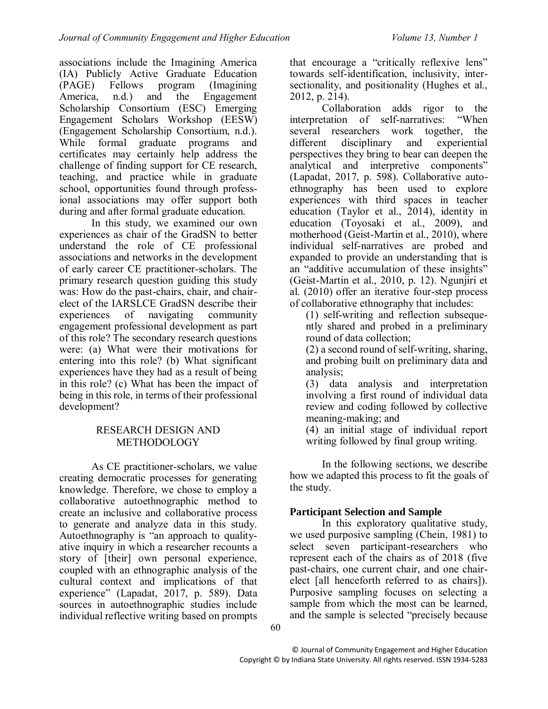associations include the Imagining America (IA) Publicly Active Graduate Education (PAGE) Fellows program (Imagining America, n.d.) and the Engagement Scholarship Consortium (ESC) Emerging Engagement Scholars Workshop (EESW) (Engagement Scholarship Consortium, n.d.). While formal graduate programs and certificates may certainly help address the challenge of finding support for CE research, teaching, and practice while in graduate school, opportunities found through professional associations may offer support both during and after formal graduate education.

In this study, we examined our own experiences as chair of the GradSN to better understand the role of CE professional associations and networks in the development of early career CE practitioner-scholars. The primary research question guiding this study was: How do the past-chairs, chair, and chairelect of the IARSLCE GradSN describe their experiences of navigating community engagement professional development as part of this role? The secondary research questions were: (a) What were their motivations for entering into this role? (b) What significant experiences have they had as a result of being in this role? (c) What has been the impact of being in this role, in terms of their professional development?

### RESEARCH DESIGN AND METHODOLOGY

As CE practitioner-scholars, we value creating democratic processes for generating knowledge. Therefore, we chose to employ a collaborative autoethnographic method to create an inclusive and collaborative process to generate and analyze data in this study. Autoethnography is "an approach to qualityative inquiry in which a researcher recounts a story of [their] own personal experience, coupled with an ethnographic analysis of the cultural context and implications of that experience" (Lapadat, 2017, p. 589). Data sources in autoethnographic studies include individual reflective writing based on prompts

that encourage a "critically reflexive lens" towards self-identification, inclusivity, intersectionality, and positionality (Hughes et al., 2012, p. 214).

Collaboration adds rigor to the<br>etation of self-narratives: "When interpretation of self-narratives: several researchers work together, the different disciplinary and experiential perspectives they bring to bear can deepen the analytical and interpretive components" (Lapadat, 2017, p. 598). Collaborative autoethnography has been used to explore experiences with third spaces in teacher education (Taylor et al., 2014), identity in education (Toyosaki et al., 2009), and motherhood (Geist-Martin et al., 2010), where individual self-narratives are probed and expanded to provide an understanding that is an "additive accumulation of these insights" (Geist-Martin et al., 2010, p. 12). Ngunjiri et al. (2010) offer an iterative four-step process of collaborative ethnography that includes:

(1) self-writing and reflection subsequently shared and probed in a preliminary round of data collection;

(2) a second round of self-writing, sharing, and probing built on preliminary data and analysis;

(3) data analysis and interpretation involving a first round of individual data review and coding followed by collective meaning-making; and

(4) an initial stage of individual report writing followed by final group writing.

In the following sections, we describe how we adapted this process to fit the goals of the study.

## **Participant Selection and Sample**

In this exploratory qualitative study, we used purposive sampling (Chein, 1981) to select seven participant-researchers who represent each of the chairs as of 2018 (five past-chairs, one current chair, and one chairelect [all henceforth referred to as chairs]). Purposive sampling focuses on selecting a sample from which the most can be learned, and the sample is selected "precisely because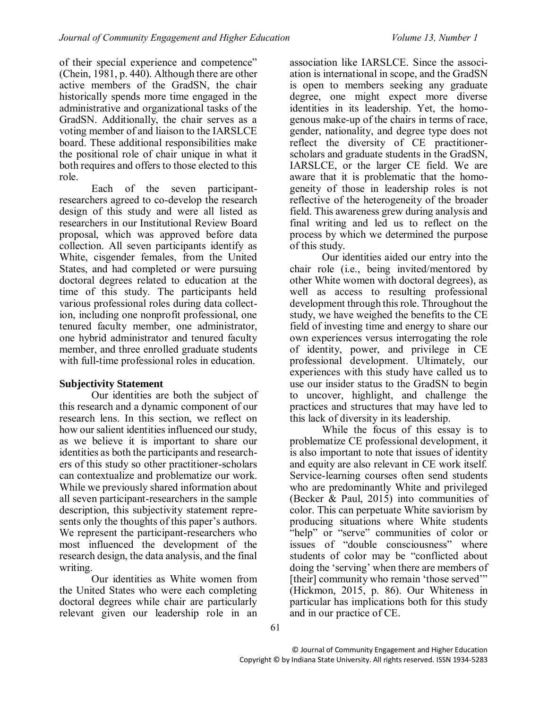of their special experience and competence" (Chein, 1981, p. 440). Although there are other active members of the GradSN, the chair historically spends more time engaged in the administrative and organizational tasks of the GradSN. Additionally, the chair serves as a voting member of and liaison to the IARSLCE board. These additional responsibilities make the positional role of chair unique in what it both requires and offers to those elected to this role.

Each of the seven participantresearchers agreed to co-develop the research design of this study and were all listed as researchers in our Institutional Review Board proposal, which was approved before data collection. All seven participants identify as White, cisgender females, from the United States, and had completed or were pursuing doctoral degrees related to education at the time of this study. The participants held various professional roles during data collection, including one nonprofit professional, one tenured faculty member, one administrator, one hybrid administrator and tenured faculty member, and three enrolled graduate students with full-time professional roles in education.

### **Subjectivity Statement**

Our identities are both the subject of this research and a dynamic component of our research lens. In this section, we reflect on how our salient identities influenced our study, as we believe it is important to share our identities as both the participants and researchers of this study so other practitioner-scholars can contextualize and problematize our work. While we previously shared information about all seven participant-researchers in the sample description, this subjectivity statement represents only the thoughts of this paper's authors. We represent the participant-researchers who most influenced the development of the research design, the data analysis, and the final writing.

Our identities as White women from the United States who were each completing doctoral degrees while chair are particularly relevant given our leadership role in an

association like IARSLCE. Since the association is international in scope, and the GradSN is open to members seeking any graduate degree, one might expect more diverse identities in its leadership. Yet, the homogenous make-up of the chairs in terms of race, gender, nationality, and degree type does not reflect the diversity of CE practitionerscholars and graduate students in the GradSN, IARSLCE, or the larger CE field. We are aware that it is problematic that the homogeneity of those in leadership roles is not reflective of the heterogeneity of the broader field. This awareness grew during analysis and final writing and led us to reflect on the process by which we determined the purpose of this study.

Our identities aided our entry into the chair role (i.e., being invited/mentored by other White women with doctoral degrees), as well as access to resulting professional development through this role. Throughout the study, we have weighed the benefits to the CE field of investing time and energy to share our own experiences versus interrogating the role of identity, power, and privilege in CE professional development. Ultimately, our experiences with this study have called us to use our insider status to the GradSN to begin to uncover, highlight, and challenge the practices and structures that may have led to this lack of diversity in its leadership.

While the focus of this essay is to problematize CE professional development, it is also important to note that issues of identity and equity are also relevant in CE work itself. Service-learning courses often send students who are predominantly White and privileged (Becker & Paul, 2015) into communities of color. This can perpetuate White saviorism by producing situations where White students "help" or "serve" communities of color or issues of "double consciousness" where students of color may be "conflicted about doing the 'serving' when there are members of [their] community who remain 'those served'" (Hickmon, 2015, p. 86). Our Whiteness in particular has implications both for this study and in our practice of CE.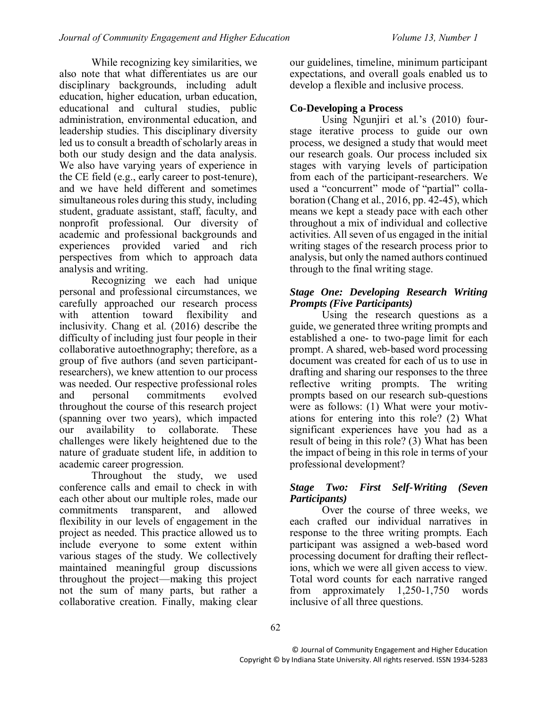While recognizing key similarities, we also note that what differentiates us are our disciplinary backgrounds, including adult education, higher education, urban education, educational and cultural studies, public administration, environmental education, and leadership studies. This disciplinary diversity led us to consult a breadth of scholarly areas in both our study design and the data analysis. We also have varying years of experience in the CE field (e.g., early career to post-tenure), and we have held different and sometimes simultaneous roles during this study, including student, graduate assistant, staff, faculty, and nonprofit professional. Our diversity of academic and professional backgrounds and experiences provided varied and rich perspectives from which to approach data analysis and writing.

Recognizing we each had unique personal and professional circumstances, we carefully approached our research process with attention toward flexibility and inclusivity. Chang et al. (2016) describe the difficulty of including just four people in their collaborative autoethnography; therefore, as a group of five authors (and seven participantresearchers), we knew attention to our process was needed. Our respective professional roles and personal commitments evolved throughout the course of this research project (spanning over two years), which impacted our availability to collaborate. These challenges were likely heightened due to the nature of graduate student life, in addition to academic career progression.

Throughout the study, we used conference calls and email to check in with each other about our multiple roles, made our commitments transparent, and allowed flexibility in our levels of engagement in the project as needed. This practice allowed us to include everyone to some extent within various stages of the study. We collectively maintained meaningful group discussions throughout the project—making this project not the sum of many parts, but rather a collaborative creation. Finally, making clear our guidelines, timeline, minimum participant expectations, and overall goals enabled us to develop a flexible and inclusive process.

### **Co-Developing a Process**

Using Ngunjiri et al.'s (2010) fourstage iterative process to guide our own process, we designed a study that would meet our research goals. Our process included six stages with varying levels of participation from each of the participant-researchers. We used a "concurrent" mode of "partial" collaboration (Chang et al., 2016, pp. 42-45), which means we kept a steady pace with each other throughout a mix of individual and collective activities. All seven of us engaged in the initial writing stages of the research process prior to analysis, but only the named authors continued through to the final writing stage.

### *Stage One: Developing Research Writing Prompts (Five Participants)*

Using the research questions as a guide, we generated three writing prompts and established a one- to two-page limit for each prompt. A shared, web-based word processing document was created for each of us to use in drafting and sharing our responses to the three reflective writing prompts. The writing prompts based on our research sub-questions were as follows: (1) What were your motivations for entering into this role? (2) What significant experiences have you had as a result of being in this role? (3) What has been the impact of being in this role in terms of your professional development?

### *Stage Two: First Self-Writing (Seven Participants)*

Over the course of three weeks, we each crafted our individual narratives in response to the three writing prompts. Each participant was assigned a web-based word processing document for drafting their reflections, which we were all given access to view. Total word counts for each narrative ranged<br>from approximately 1.250-1.750 words from approximately 1,250-1,750 words inclusive of all three questions.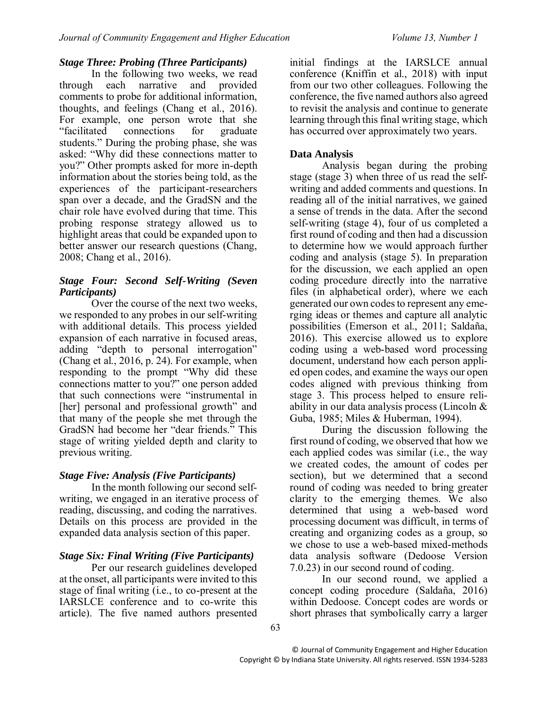### *Stage Three: Probing (Three Participants)*

In the following two weeks, we read through each narrative and provided comments to probe for additional information, thoughts, and feelings (Chang et al., 2016). For example, one person wrote that she<br>
"facilitated connections for graduate" connections for graduate students." During the probing phase, she was asked: "Why did these connections matter to you?" Other prompts asked for more in-depth information about the stories being told, as the experiences of the participant-researchers span over a decade, and the GradSN and the chair role have evolved during that time. This probing response strategy allowed us to highlight areas that could be expanded upon to better answer our research questions (Chang, 2008; Chang et al., 2016).

### *Stage Four: Second Self-Writing (Seven Participants)*

Over the course of the next two weeks, we responded to any probes in our self-writing with additional details. This process yielded expansion of each narrative in focused areas, adding "depth to personal interrogation" (Chang et al., 2016, p. 24). For example, when responding to the prompt "Why did these connections matter to you?" one person added that such connections were "instrumental in [her] personal and professional growth" and that many of the people she met through the GradSN had become her "dear friends." This stage of writing yielded depth and clarity to previous writing.

#### *Stage Five: Analysis (Five Participants)*

In the month following our second selfwriting, we engaged in an iterative process of reading, discussing, and coding the narratives. Details on this process are provided in the expanded data analysis section of this paper.

### *Stage Six: Final Writing (Five Participants)*

Per our research guidelines developed at the onset, all participants were invited to this stage of final writing (i.e., to co-present at the IARSLCE conference and to co-write this article). The five named authors presented

initial findings at the IARSLCE annual conference (Kniffin et al., 2018) with input from our two other colleagues. Following the conference, the five named authors also agreed to revisit the analysis and continue to generate learning through this final writing stage, which has occurred over approximately two years.

### **Data Analysis**

Analysis began during the probing stage (stage 3) when three of us read the selfwriting and added comments and questions. In reading all of the initial narratives, we gained a sense of trends in the data. After the second self-writing (stage 4), four of us completed a first round of coding and then had a discussion to determine how we would approach further coding and analysis (stage 5). In preparation for the discussion, we each applied an open coding procedure directly into the narrative files (in alphabetical order), where we each generated our own codes to represent any emerging ideas or themes and capture all analytic possibilities (Emerson et al., 2011; Saldaña, 2016). This exercise allowed us to explore coding using a web-based word processing document, understand how each person applied open codes, and examine the ways our open codes aligned with previous thinking from stage 3. This process helped to ensure reliability in our data analysis process (Lincoln & Guba, 1985; Miles & Huberman, 1994).

During the discussion following the first round of coding, we observed that how we each applied codes was similar (i.e., the way we created codes, the amount of codes per section), but we determined that a second round of coding was needed to bring greater clarity to the emerging themes. We also determined that using a web-based word processing document was difficult, in terms of creating and organizing codes as a group, so we chose to use a web-based mixed-methods data analysis software (Dedoose Version 7.0.23) in our second round of coding.

In our second round, we applied a concept coding procedure (Saldaña, 2016) within Dedoose. Concept codes are words or short phrases that symbolically carry a larger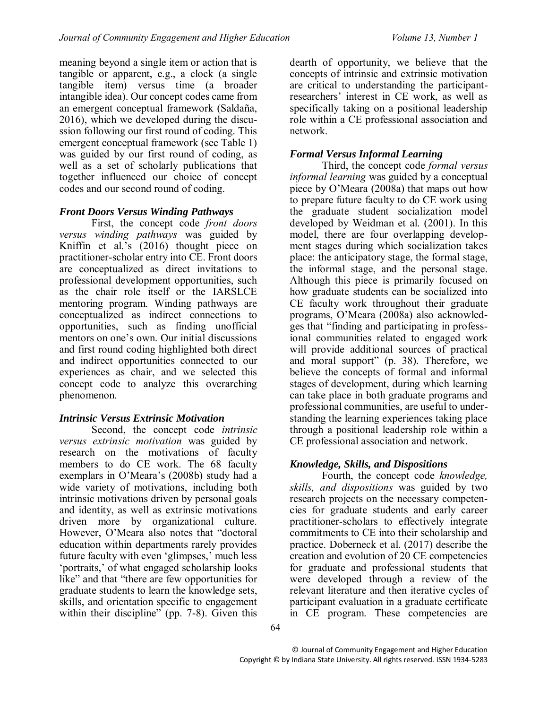meaning beyond a single item or action that is tangible or apparent, e.g., a clock (a single tangible item) versus time (a broader intangible idea). Our concept codes came from an emergent conceptual framework (Saldaña, 2016), which we developed during the discussion following our first round of coding. This emergent conceptual framework (see Table 1) was guided by our first round of coding, as well as a set of scholarly publications that together influenced our choice of concept codes and our second round of coding.

### *Front Doors Versus Winding Pathways*

First, the concept code *front doors versus winding pathways* was guided by Kniffin et al.'s (2016) thought piece on practitioner-scholar entry into CE. Front doors are conceptualized as direct invitations to professional development opportunities, such as the chair role itself or the IARSLCE mentoring program. Winding pathways are conceptualized as indirect connections to opportunities, such as finding unofficial mentors on one's own. Our initial discussions and first round coding highlighted both direct and indirect opportunities connected to our experiences as chair, and we selected this concept code to analyze this overarching phenomenon.

### *Intrinsic Versus Extrinsic Motivation*

Second, the concept code *intrinsic versus extrinsic motivation* was guided by research on the motivations of faculty members to do CE work. The 68 faculty exemplars in O'Meara's (2008b) study had a wide variety of motivations, including both intrinsic motivations driven by personal goals and identity, as well as extrinsic motivations driven more by organizational culture. However, O'Meara also notes that "doctoral education within departments rarely provides future faculty with even 'glimpses,' much less 'portraits,' of what engaged scholarship looks like" and that "there are few opportunities for graduate students to learn the knowledge sets, skills, and orientation specific to engagement within their discipline" (pp. 7-8). Given this

dearth of opportunity, we believe that the concepts of intrinsic and extrinsic motivation are critical to understanding the participantresearchers' interest in CE work, as well as specifically taking on a positional leadership role within a CE professional association and network.

### *Formal Versus Informal Learning*

Third, the concept code *formal versus informal learning* was guided by a conceptual piece by O'Meara (2008a) that maps out how to prepare future faculty to do CE work using the graduate student socialization model developed by Weidman et al. (2001). In this model, there are four overlapping development stages during which socialization takes place: the anticipatory stage, the formal stage, the informal stage, and the personal stage. Although this piece is primarily focused on how graduate students can be socialized into CE faculty work throughout their graduate programs, O'Meara (2008a) also acknowledges that "finding and participating in professional communities related to engaged work will provide additional sources of practical and moral support" (p. 38). Therefore, we believe the concepts of formal and informal stages of development, during which learning can take place in both graduate programs and professional communities, are useful to understanding the learning experiences taking place through a positional leadership role within a CE professional association and network.

## *Knowledge, Skills, and Dispositions*

Fourth, the concept code *knowledge, skills, and dispositions* was guided by two research projects on the necessary competencies for graduate students and early career practitioner-scholars to effectively integrate commitments to CE into their scholarship and practice. Doberneck et al. (2017) describe the creation and evolution of 20 CE competencies for graduate and professional students that were developed through a review of the relevant literature and then iterative cycles of participant evaluation in a graduate certificate in CE program. These competencies are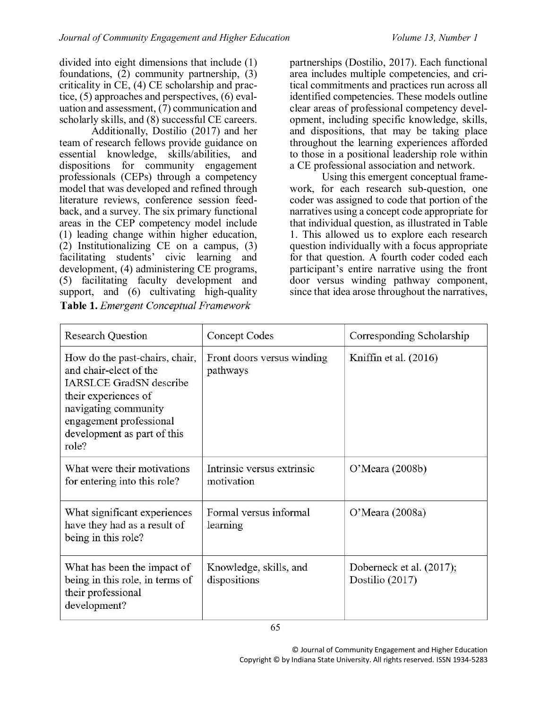divided into eight dimensions that include (1) foundations, (2) community partnership, (3) criticality in CE, (4) CE scholarship and practice, (5) approaches and perspectives, (6) evaluation and assessment, (7) communication and scholarly skills, and (8) successful CE careers.

Additionally, Dostilio (2017) and her team of research fellows provide guidance on essential knowledge, skills/abilities, and dispositions for community engagement professionals (CEPs) through a competency model that was developed and refined through literature reviews, conference session feedback, and a survey. The six primary functional areas in the CEP competency model include (1) leading change within higher education, (2) Institutionalizing CE on a campus, (3) facilitating students' civic learning and development, (4) administering CE programs, (5) facilitating faculty development and support, and (6) cultivating high-quality Table 1. Emergent Conceptual Framework

65

partnerships (Dostilio, 2017). Each functional area includes multiple competencies, and critical commitments and practices run across all identified competencies. These models outline clear areas of professional competency development, including specific knowledge, skills, and dispositions, that may be taking place throughout the learning experiences afforded to those in a positional leadership role within a CE professional association and network.

Using this emergent conceptual framework, for each research sub-question, one coder was assigned to code that portion of the narratives using a concept code appropriate for that individual question, as illustrated in Table 1. This allowed us to explore each research question individually with a focus appropriate for that question. A fourth coder coded each participant's entire narrative using the front door versus winding pathway component, since that idea arose throughout the narratives,

| <b>Research Question</b>                                                                                                                                                                                      | Concept Codes                            | Corresponding Scholarship                   |
|---------------------------------------------------------------------------------------------------------------------------------------------------------------------------------------------------------------|------------------------------------------|---------------------------------------------|
| How do the past-chairs, chair,<br>and chair-elect of the<br><b>IARSLCE GradSN</b> describe<br>their experiences of<br>navigating community<br>engagement professional<br>development as part of this<br>role? | Front doors versus winding<br>pathways   | Kniffin et al. $(2016)$                     |
| What were their motivations<br>for entering into this role?                                                                                                                                                   | Intrinsic versus extrinsic<br>motivation | O'Meara (2008b)                             |
| What significant experiences<br>have they had as a result of<br>being in this role?                                                                                                                           | Formal versus informal<br>learning       | O'Meara (2008a)                             |
| What has been the impact of<br>being in this role, in terms of<br>their professional<br>development?                                                                                                          | Knowledge, skills, and<br>dispositions   | Doberneck et al. (2017);<br>Dostilio (2017) |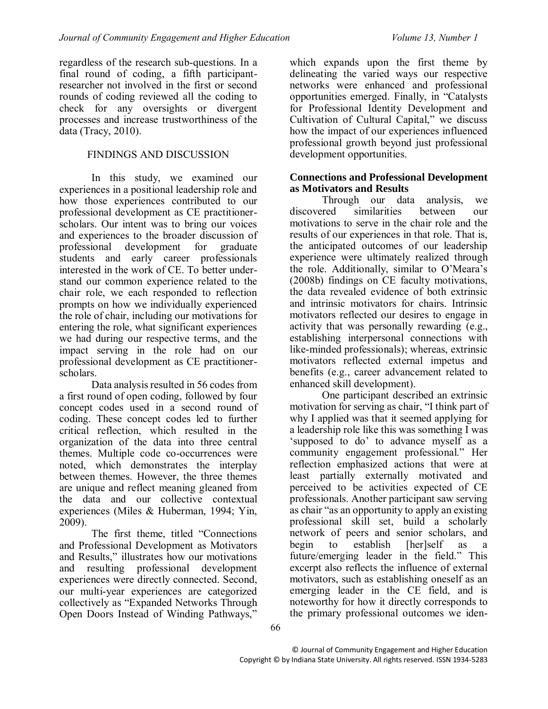regardless of the research sub-questions. In a final round of coding, a fifth participantresearcher not involved in the first or second rounds of coding reviewed all the coding to check for any oversights or divergent processes and increase trustworthiness of the data (Tracy, 2010).

### FINDINGS AND DISCUSSION

In this study, we examined our experiences in a positional leadership role and how those experiences contributed to our professional development as CE practitionerscholars. Our intent was to bring our voices and experiences to the broader discussion of professional development for graduate students and early career professionals interested in the work of CE. To better understand our common experience related to the chair role, we each responded to reflection prompts on how we individually experienced the role of chair, including our motivations for entering the role, what significant experiences we had during our respective terms, and the impact serving in the role had on our professional development as CE practitionerscholars.

Data analysis resulted in 56 codes from a first round of open coding, followed by four concept codes used in a second round of coding. These concept codes led to further critical reflection, which resulted in the organization of the data into three central themes. Multiple code co-occurrences were noted, which demonstrates the interplay between themes. However, the three themes are unique and reflect meaning gleaned from the data and our collective contextual experiences (Miles & Huberman, 1994; Yin, 2009).

The first theme, titled "Connections and Professional Development as Motivators and Results," illustrates how our motivations and resulting professional development experiences were directly connected. Second, our multi-year experiences are categorized collectively as "Expanded Networks Through Open Doors Instead of Winding Pathways,"

which expands upon the first theme by delineating the varied ways our respective networks were enhanced and professional opportunities emerged. Finally, in "Catalysts for Professional Identity Development and Cultivation of Cultural Capital," we discuss how the impact of our experiences influenced professional growth beyond just professional development opportunities.

#### **Connections and Professional Development as Motivators and Results**

Through our data analysis, we discovered similarities between our motivations to serve in the chair role and the results of our experiences in that role. That is, the anticipated outcomes of our leadership experience were ultimately realized through the role. Additionally, similar to O'Meara's (2008b) findings on CE faculty motivations, the data revealed evidence of both extrinsic and intrinsic motivators for chairs. Intrinsic motivators reflected our desires to engage in activity that was personally rewarding (e.g., establishing interpersonal connections with like-minded professionals); whereas, extrinsic motivators reflected external impetus and benefits (e.g., career advancement related to enhanced skill development).

One participant described an extrinsic motivation for serving as chair, "I think part of why I applied was that it seemed applying for a leadership role like this was something I was 'supposed to do' to advance myself as a community engagement professional." Her reflection emphasized actions that were at least partially externally motivated and perceived to be activities expected of CE professionals. Another participant saw serving as chair "as an opportunity to apply an existing professional skill set, build a scholarly network of peers and senior scholars, and begin to establish [her]self as a future/emerging leader in the field." This excerpt also reflects the influence of external motivators, such as establishing oneself as an emerging leader in the CE field, and is noteworthy for how it directly corresponds to the primary professional outcomes we iden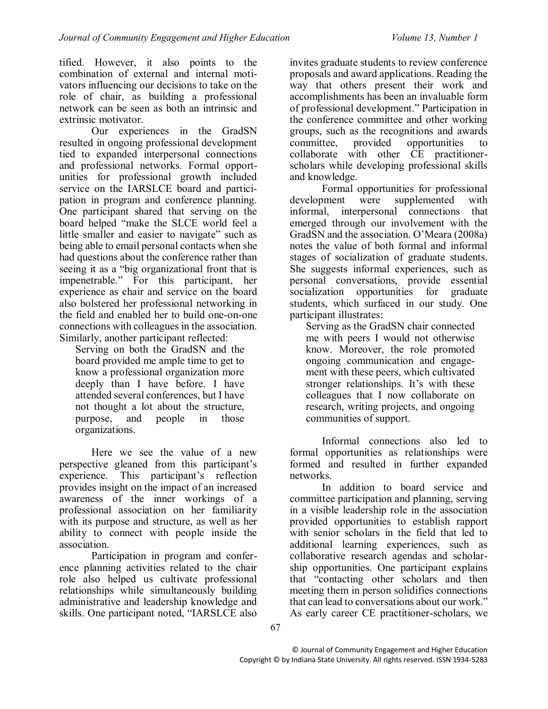tified. However, it also points to the combination of external and internal motivators influencing our decisions to take on the role of chair, as building a professional network can be seen as both an intrinsic and extrinsic motivator.

Our experiences in the GradSN resulted in ongoing professional development tied to expanded interpersonal connections and professional networks. Formal opportunities for professional growth included service on the IARSLCE board and participation in program and conference planning. One participant shared that serving on the board helped "make the SLCE world feel a little smaller and easier to navigate" such as being able to email personal contacts when she had questions about the conference rather than seeing it as a "big organizational front that is impenetrable." For this participant, her experience as chair and service on the board also bolstered her professional networking in the field and enabled her to build one-on-one connections with colleagues in the association. Similarly, another participant reflected:

Serving on both the GradSN and the board provided me ample time to get to know a professional organization more deeply than I have before. I have attended several conferences, but I have not thought a lot about the structure, purpose, and people in those organizations.

Here we see the value of a new perspective gleaned from this participant's experience. This participant's reflection provides insight on the impact of an increased awareness of the inner workings of a professional association on her familiarity with its purpose and structure, as well as her ability to connect with people inside the association.

Participation in program and conference planning activities related to the chair role also helped us cultivate professional relationships while simultaneously building administrative and leadership knowledge and skills. One participant noted, "IARSLCE also

invites graduate students to review conference proposals and award applications. Reading the way that others present their work and accomplishments has been an invaluable form of professional development." Participation in the conference committee and other working groups, such as the recognitions and awards<br>committee, provided opportunities to opportunities to collaborate with other CE practitionerscholars while developing professional skills and knowledge.

Formal opportunities for professional development were supplemented with informal, interpersonal connections that emerged through our involvement with the GradSN and the association. O'Meara (2008a) notes the value of both formal and informal stages of socialization of graduate students. She suggests informal experiences, such as personal conversations, provide essential socialization opportunities for graduate students, which surfaced in our study. One participant illustrates:

Serving as the GradSN chair connected me with peers I would not otherwise know. Moreover, the role promoted ongoing communication and engagement with these peers, which cultivated stronger relationships. It's with these colleagues that I now collaborate on research, writing projects, and ongoing communities of support.

Informal connections also led to formal opportunities as relationships were formed and resulted in further expanded networks.

In addition to board service and committee participation and planning, serving in a visible leadership role in the association provided opportunities to establish rapport with senior scholars in the field that led to additional learning experiences, such as collaborative research agendas and scholarship opportunities. One participant explains that "contacting other scholars and then meeting them in person solidifies connections that can lead to conversations about our work." As early career CE practitioner-scholars, we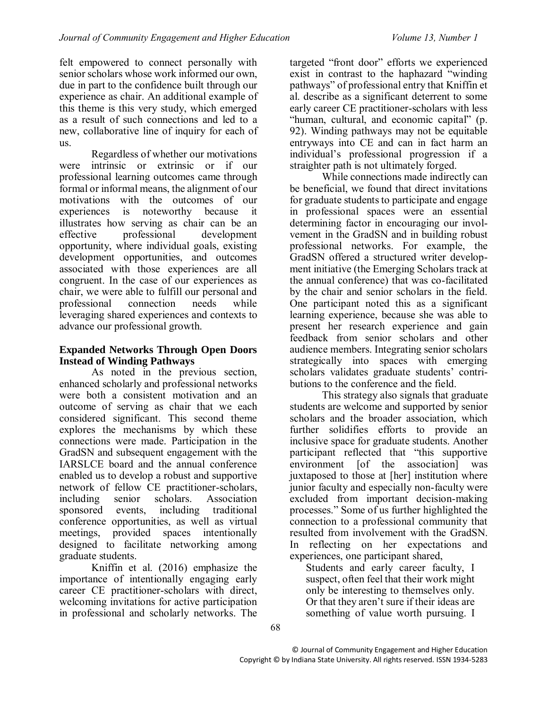felt empowered to connect personally with senior scholars whose work informed our own, due in part to the confidence built through our experience as chair. An additional example of this theme is this very study, which emerged as a result of such connections and led to a new, collaborative line of inquiry for each of us.

Regardless of whether our motivations were intrinsic or extrinsic or if our professional learning outcomes came through formal or informal means, the alignment of our motivations with the outcomes of our experiences is noteworthy because it illustrates how serving as chair can be an effective professional development opportunity, where individual goals, existing development opportunities, and outcomes associated with those experiences are all congruent. In the case of our experiences as chair, we were able to fulfill our personal and professional connection needs while leveraging shared experiences and contexts to advance our professional growth.

### **Expanded Networks Through Open Doors Instead of Winding Pathways**

As noted in the previous section, enhanced scholarly and professional networks were both a consistent motivation and an outcome of serving as chair that we each considered significant. This second theme explores the mechanisms by which these connections were made. Participation in the GradSN and subsequent engagement with the IARSLCE board and the annual conference enabled us to develop a robust and supportive network of fellow CE practitioner-scholars, including senior scholars. Association sponsored events, including traditional conference opportunities, as well as virtual meetings, provided spaces intentionally designed to facilitate networking among graduate students.

Kniffin et al. (2016) emphasize the importance of intentionally engaging early career CE practitioner-scholars with direct, welcoming invitations for active participation in professional and scholarly networks. The

targeted "front door" efforts we experienced exist in contrast to the haphazard "winding pathways" of professional entry that Kniffin et al. describe as a significant deterrent to some early career CE practitioner-scholars with less "human, cultural, and economic capital" (p. 92). Winding pathways may not be equitable entryways into CE and can in fact harm an individual's professional progression if a straighter path is not ultimately forged.

While connections made indirectly can be beneficial, we found that direct invitations for graduate students to participate and engage in professional spaces were an essential determining factor in encouraging our involvement in the GradSN and in building robust professional networks. For example, the GradSN offered a structured writer development initiative (the Emerging Scholars track at the annual conference) that was co-facilitated by the chair and senior scholars in the field. One participant noted this as a significant learning experience, because she was able to present her research experience and gain feedback from senior scholars and other audience members. Integrating senior scholars strategically into spaces with emerging scholars validates graduate students' contributions to the conference and the field.

This strategy also signals that graduate students are welcome and supported by senior scholars and the broader association, which further solidifies efforts to provide an inclusive space for graduate students. Another participant reflected that "this supportive environment [of the association] was juxtaposed to those at [her] institution where junior faculty and especially non-faculty were excluded from important decision-making processes." Some of us further highlighted the connection to a professional community that resulted from involvement with the GradSN. In reflecting on her expectations and experiences, one participant shared,

Students and early career faculty, I suspect, often feel that their work might only be interesting to themselves only. Or that they aren't sure if their ideas are something of value worth pursuing. I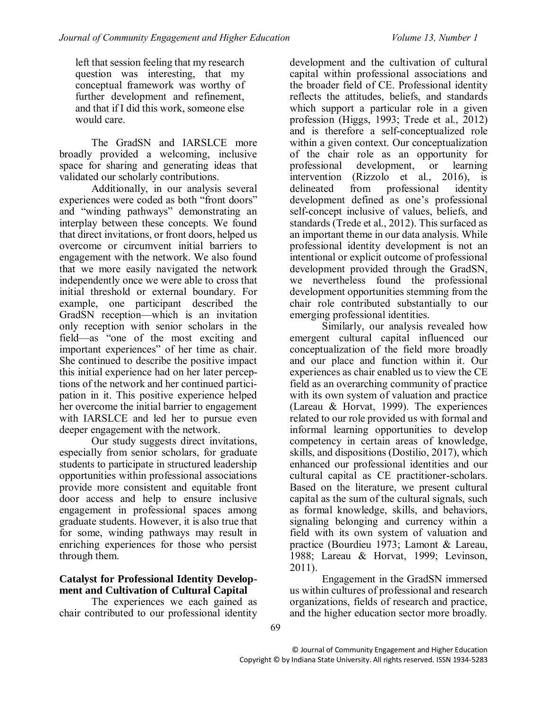left that session feeling that my research question was interesting, that my conceptual framework was worthy of further development and refinement, and that if I did this work, someone else would care.

The GradSN and IARSLCE more broadly provided a welcoming, inclusive space for sharing and generating ideas that validated our scholarly contributions.

Additionally, in our analysis several experiences were coded as both "front doors" and "winding pathways" demonstrating an interplay between these concepts. We found that direct invitations, or front doors, helped us overcome or circumvent initial barriers to engagement with the network. We also found that we more easily navigated the network independently once we were able to cross that initial threshold or external boundary. For example, one participant described the GradSN reception—which is an invitation only reception with senior scholars in the field—as "one of the most exciting and important experiences" of her time as chair. She continued to describe the positive impact this initial experience had on her later perceptions of the network and her continued participation in it. This positive experience helped her overcome the initial barrier to engagement with IARSLCE and led her to pursue even deeper engagement with the network.

Our study suggests direct invitations, especially from senior scholars, for graduate students to participate in structured leadership opportunities within professional associations provide more consistent and equitable front door access and help to ensure inclusive engagement in professional spaces among graduate students. However, it is also true that for some, winding pathways may result in enriching experiences for those who persist through them.

### **Catalyst for Professional Identity Development and Cultivation of Cultural Capital**

The experiences we each gained as chair contributed to our professional identity

development and the cultivation of cultural capital within professional associations and the broader field of CE. Professional identity reflects the attitudes, beliefs, and standards which support a particular role in a given profession (Higgs, 1993; Trede et al., 2012) and is therefore a self-conceptualized role within a given context. Our conceptualization of the chair role as an opportunity for professional development, or learning intervention (Rizzolo et al., 2016), is delineated from professional identity development defined as one's professional self-concept inclusive of values, beliefs, and standards (Trede et al., 2012). This surfaced as an important theme in our data analysis. While professional identity development is not an intentional or explicit outcome of professional development provided through the GradSN, we nevertheless found the professional development opportunities stemming from the chair role contributed substantially to our emerging professional identities.

Similarly, our analysis revealed how emergent cultural capital influenced our conceptualization of the field more broadly and our place and function within it. Our experiences as chair enabled us to view the CE field as an overarching community of practice with its own system of valuation and practice (Lareau & Horvat, 1999). The experiences related to our role provided us with formal and informal learning opportunities to develop competency in certain areas of knowledge, skills, and dispositions (Dostilio, 2017), which enhanced our professional identities and our cultural capital as CE practitioner-scholars. Based on the literature, we present cultural capital as the sum of the cultural signals, such as formal knowledge, skills, and behaviors, signaling belonging and currency within a field with its own system of valuation and practice (Bourdieu 1973; Lamont & Lareau, 1988; Lareau & Horvat, 1999; Levinson, 2011).

Engagement in the GradSN immersed us within cultures of professional and research organizations, fields of research and practice, and the higher education sector more broadly.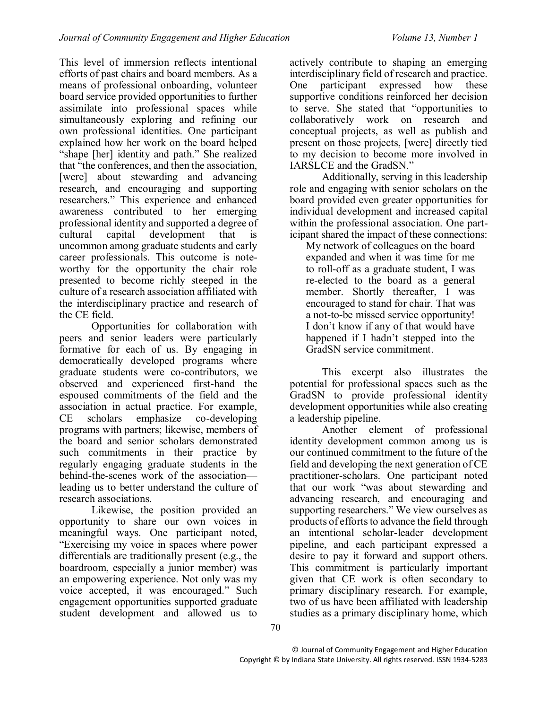This level of immersion reflects intentional efforts of past chairs and board members. As a means of professional onboarding, volunteer board service provided opportunities to further assimilate into professional spaces while simultaneously exploring and refining our own professional identities. One participant explained how her work on the board helped "shape [her] identity and path." She realized that "the conferences, and then the association, [were] about stewarding and advancing research, and encouraging and supporting researchers." This experience and enhanced awareness contributed to her emerging professional identity and supported a degree of cultural capital development that is uncommon among graduate students and early career professionals. This outcome is noteworthy for the opportunity the chair role presented to become richly steeped in the culture of a research association affiliated with the interdisciplinary practice and research of the CE field.

Opportunities for collaboration with peers and senior leaders were particularly formative for each of us. By engaging in democratically developed programs where graduate students were co-contributors, we observed and experienced first-hand the espoused commitments of the field and the association in actual practice. For example, CE scholars emphasize co-developing programs with partners; likewise, members of the board and senior scholars demonstrated such commitments in their practice by regularly engaging graduate students in the behind-the-scenes work of the association leading us to better understand the culture of research associations.

Likewise, the position provided an opportunity to share our own voices in meaningful ways. One participant noted, "Exercising my voice in spaces where power differentials are traditionally present (e.g., the boardroom, especially a junior member) was an empowering experience. Not only was my voice accepted, it was encouraged." Such engagement opportunities supported graduate student development and allowed us to

actively contribute to shaping an emerging interdisciplinary field of research and practice. One participant expressed how these supportive conditions reinforced her decision to serve. She stated that "opportunities to collaboratively work on research and conceptual projects, as well as publish and present on those projects, [were] directly tied to my decision to become more involved in IARSLCE and the GradSN."

Additionally, serving in this leadership role and engaging with senior scholars on the board provided even greater opportunities for individual development and increased capital within the professional association. One participant shared the impact of these connections:

My network of colleagues on the board expanded and when it was time for me to roll-off as a graduate student, I was re-elected to the board as a general member. Shortly thereafter, I was encouraged to stand for chair. That was a not-to-be missed service opportunity! I don't know if any of that would have happened if I hadn't stepped into the GradSN service commitment.

This excerpt also illustrates the potential for professional spaces such as the GradSN to provide professional identity development opportunities while also creating a leadership pipeline.

Another element of professional identity development common among us is our continued commitment to the future of the field and developing the next generation of CE practitioner-scholars. One participant noted that our work "was about stewarding and advancing research, and encouraging and supporting researchers." We view ourselves as products of efforts to advance the field through an intentional scholar-leader development pipeline, and each participant expressed a desire to pay it forward and support others. This commitment is particularly important given that CE work is often secondary to primary disciplinary research. For example, two of us have been affiliated with leadership studies as a primary disciplinary home, which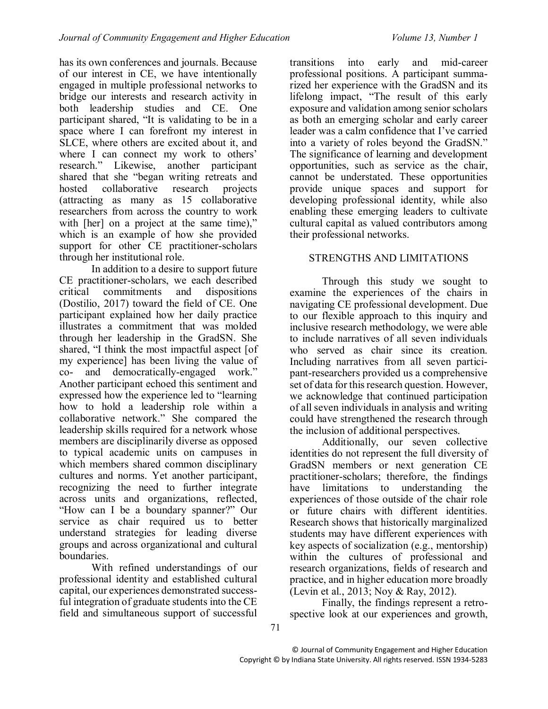has its own conferences and journals. Because of our interest in CE, we have intentionally engaged in multiple professional networks to bridge our interests and research activity in both leadership studies and CE. One participant shared, "It is validating to be in a space where I can forefront my interest in SLCE, where others are excited about it, and where I can connect my work to others' research." Likewise, another participant shared that she "began writing retreats and hosted collaborative research projects (attracting as many as 15 collaborative researchers from across the country to work with [her] on a project at the same time)," which is an example of how she provided support for other CE practitioner-scholars through her institutional role.

In addition to a desire to support future CE practitioner-scholars, we each described critical commitments and dispositions (Dostilio, 2017) toward the field of CE. One participant explained how her daily practice illustrates a commitment that was molded through her leadership in the GradSN. She shared, "I think the most impactful aspect [of my experience] has been living the value of co- and democratically-engaged work." Another participant echoed this sentiment and expressed how the experience led to "learning how to hold a leadership role within a collaborative network." She compared the leadership skills required for a network whose members are disciplinarily diverse as opposed to typical academic units on campuses in which members shared common disciplinary cultures and norms. Yet another participant, recognizing the need to further integrate across units and organizations, reflected, "How can I be a boundary spanner?" Our service as chair required us to better understand strategies for leading diverse groups and across organizational and cultural boundaries.

With refined understandings of our professional identity and established cultural capital, our experiences demonstrated successful integration of graduate students into the CE field and simultaneous support of successful

transitions into early and mid-career professional positions. A participant summarized her experience with the GradSN and its lifelong impact, "The result of this early exposure and validation among senior scholars as both an emerging scholar and early career leader was a calm confidence that I've carried into a variety of roles beyond the GradSN." The significance of learning and development opportunities, such as service as the chair, cannot be understated. These opportunities provide unique spaces and support for developing professional identity, while also enabling these emerging leaders to cultivate cultural capital as valued contributors among their professional networks.

## STRENGTHS AND LIMITATIONS

Through this study we sought to examine the experiences of the chairs in navigating CE professional development. Due to our flexible approach to this inquiry and inclusive research methodology, we were able to include narratives of all seven individuals who served as chair since its creation. Including narratives from all seven participant-researchers provided us a comprehensive set of data for this research question. However, we acknowledge that continued participation of all seven individuals in analysis and writing could have strengthened the research through the inclusion of additional perspectives.

Additionally, our seven collective identities do not represent the full diversity of GradSN members or next generation CE practitioner-scholars; therefore, the findings have limitations to understanding the experiences of those outside of the chair role or future chairs with different identities. Research shows that historically marginalized students may have different experiences with key aspects of socialization (e.g., mentorship) within the cultures of professional and research organizations, fields of research and practice, and in higher education more broadly (Levin et al., 2013; Noy & Ray, 2012).

Finally, the findings represent a retrospective look at our experiences and growth,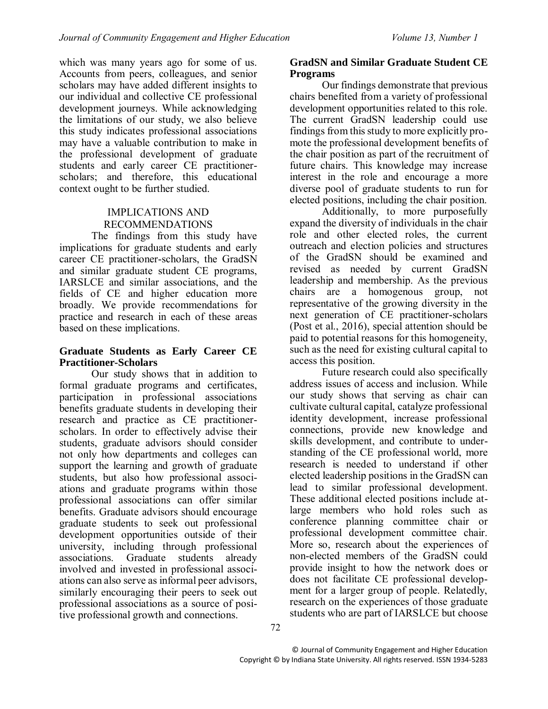which was many years ago for some of us. Accounts from peers, colleagues, and senior scholars may have added different insights to our individual and collective CE professional development journeys. While acknowledging the limitations of our study, we also believe this study indicates professional associations may have a valuable contribution to make in the professional development of graduate students and early career CE practitionerscholars; and therefore, this educational context ought to be further studied.

### IMPLICATIONS AND RECOMMENDATIONS

The findings from this study have implications for graduate students and early career CE practitioner-scholars, the GradSN and similar graduate student CE programs, IARSLCE and similar associations, and the fields of CE and higher education more broadly. We provide recommendations for practice and research in each of these areas based on these implications.

### **Graduate Students as Early Career CE Practitioner-Scholars**

Our study shows that in addition to formal graduate programs and certificates, participation in professional associations benefits graduate students in developing their research and practice as CE practitionerscholars. In order to effectively advise their students, graduate advisors should consider not only how departments and colleges can support the learning and growth of graduate students, but also how professional associations and graduate programs within those professional associations can offer similar benefits. Graduate advisors should encourage graduate students to seek out professional development opportunities outside of their university, including through professional associations. Graduate students already involved and invested in professional associations can also serve as informal peer advisors, similarly encouraging their peers to seek out professional associations as a source of positive professional growth and connections.

#### **GradSN and Similar Graduate Student CE Programs**

Our findings demonstrate that previous chairs benefited from a variety of professional development opportunities related to this role. The current GradSN leadership could use findings from this study to more explicitly promote the professional development benefits of the chair position as part of the recruitment of future chairs. This knowledge may increase interest in the role and encourage a more diverse pool of graduate students to run for elected positions, including the chair position.

Additionally, to more purposefully expand the diversity of individuals in the chair role and other elected roles, the current outreach and election policies and structures of the GradSN should be examined and revised as needed by current GradSN leadership and membership. As the previous chairs are a homogenous group, not representative of the growing diversity in the next generation of CE practitioner-scholars (Post et al., 2016), special attention should be paid to potential reasons for this homogeneity, such as the need for existing cultural capital to access this position.

Future research could also specifically address issues of access and inclusion. While our study shows that serving as chair can cultivate cultural capital, catalyze professional identity development, increase professional connections, provide new knowledge and skills development, and contribute to understanding of the CE professional world, more research is needed to understand if other elected leadership positions in the GradSN can lead to similar professional development. These additional elected positions include atlarge members who hold roles such as conference planning committee chair or professional development committee chair. More so, research about the experiences of non-elected members of the GradSN could provide insight to how the network does or does not facilitate CE professional development for a larger group of people. Relatedly, research on the experiences of those graduate students who are part of IARSLCE but choose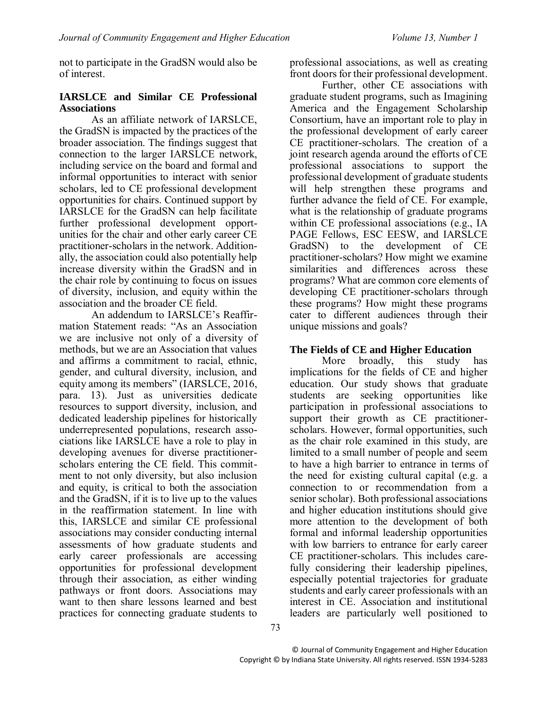not to participate in the GradSN would also be of interest.

#### **IARSLCE and Similar CE Professional Associations**

As an affiliate network of IARSLCE, the GradSN is impacted by the practices of the broader association. The findings suggest that connection to the larger IARSLCE network, including service on the board and formal and informal opportunities to interact with senior scholars, led to CE professional development opportunities for chairs. Continued support by IARSLCE for the GradSN can help facilitate further professional development opportunities for the chair and other early career CE practitioner-scholars in the network. Additionally, the association could also potentially help increase diversity within the GradSN and in the chair role by continuing to focus on issues of diversity, inclusion, and equity within the association and the broader CE field.

An addendum to IARSLCE's Reaffirmation Statement reads: "As an Association we are inclusive not only of a diversity of methods, but we are an Association that values and affirms a commitment to racial, ethnic, gender, and cultural diversity, inclusion, and equity among its members" (IARSLCE, 2016, para. 13). Just as universities dedicate resources to support diversity, inclusion, and dedicated leadership pipelines for historically underrepresented populations, research associations like IARSLCE have a role to play in developing avenues for diverse practitionerscholars entering the CE field. This commitment to not only diversity, but also inclusion and equity, is critical to both the association and the GradSN, if it is to live up to the values in the reaffirmation statement. In line with this, IARSLCE and similar CE professional associations may consider conducting internal assessments of how graduate students and early career professionals are accessing opportunities for professional development through their association, as either winding pathways or front doors. Associations may want to then share lessons learned and best practices for connecting graduate students to

professional associations, as well as creating front doors for their professional development.

Further, other CE associations with graduate student programs, such as Imagining America and the Engagement Scholarship Consortium, have an important role to play in the professional development of early career CE practitioner-scholars. The creation of a joint research agenda around the efforts of CE professional associations to support the professional development of graduate students will help strengthen these programs and further advance the field of CE. For example, what is the relationship of graduate programs within CE professional associations (e.g., IA PAGE Fellows, ESC EESW, and IARSLCE GradSN) to the development of CE practitioner-scholars? How might we examine similarities and differences across these programs? What are common core elements of developing CE practitioner-scholars through these programs? How might these programs cater to different audiences through their unique missions and goals?

#### **The Fields of CE and Higher Education**

More broadly, this study has implications for the fields of CE and higher education. Our study shows that graduate students are seeking opportunities like participation in professional associations to support their growth as CE practitionerscholars. However, formal opportunities, such as the chair role examined in this study, are limited to a small number of people and seem to have a high barrier to entrance in terms of the need for existing cultural capital (e.g. a connection to or recommendation from a senior scholar). Both professional associations and higher education institutions should give more attention to the development of both formal and informal leadership opportunities with low barriers to entrance for early career CE practitioner-scholars. This includes carefully considering their leadership pipelines, especially potential trajectories for graduate students and early career professionals with an interest in CE. Association and institutional leaders are particularly well positioned to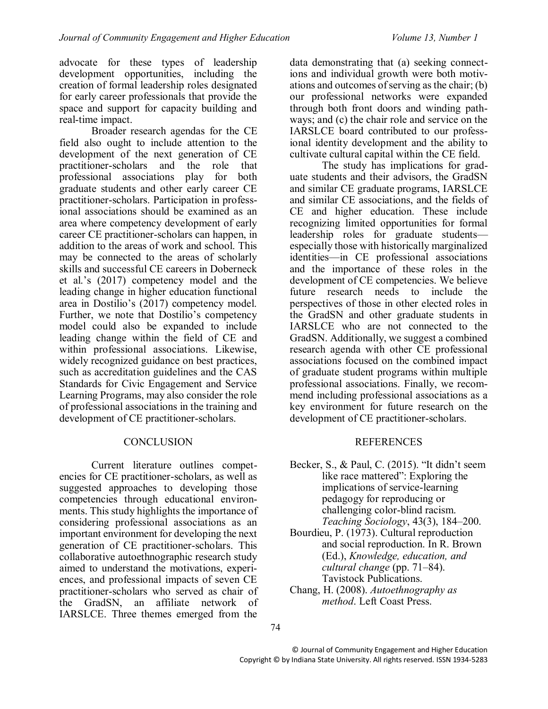advocate for these types of leadership development opportunities, including the creation of formal leadership roles designated for early career professionals that provide the space and support for capacity building and real-time impact.

Broader research agendas for the CE field also ought to include attention to the development of the next generation of CE practitioner-scholars and the role that professional associations play for both graduate students and other early career CE practitioner-scholars. Participation in professional associations should be examined as an area where competency development of early career CE practitioner-scholars can happen, in addition to the areas of work and school. This may be connected to the areas of scholarly skills and successful CE careers in Doberneck et al.'s (2017) competency model and the leading change in higher education functional area in Dostilio's (2017) competency model. Further, we note that Dostilio's competency model could also be expanded to include leading change within the field of CE and within professional associations. Likewise, widely recognized guidance on best practices, such as accreditation guidelines and the CAS Standards for Civic Engagement and Service Learning Programs, may also consider the role of professional associations in the training and development of CE practitioner-scholars.

### **CONCLUSION**

Current literature outlines competencies for CE practitioner-scholars, as well as suggested approaches to developing those competencies through educational environments. This study highlights the importance of considering professional associations as an important environment for developing the next generation of CE practitioner-scholars. This collaborative autoethnographic research study aimed to understand the motivations, experiences, and professional impacts of seven CE practitioner-scholars who served as chair of the GradSN, an affiliate network of IARSLCE. Three themes emerged from the

data demonstrating that (a) seeking connections and individual growth were both motivations and outcomes of serving as the chair; (b) our professional networks were expanded through both front doors and winding pathways; and (c) the chair role and service on the IARSLCE board contributed to our professional identity development and the ability to cultivate cultural capital within the CE field.

The study has implications for graduate students and their advisors, the GradSN and similar CE graduate programs, IARSLCE and similar CE associations, and the fields of CE and higher education. These include recognizing limited opportunities for formal leadership roles for graduate students especially those with historically marginalized identities—in CE professional associations and the importance of these roles in the development of CE competencies. We believe future research needs to include the perspectives of those in other elected roles in the GradSN and other graduate students in IARSLCE who are not connected to the GradSN. Additionally, we suggest a combined research agenda with other CE professional associations focused on the combined impact of graduate student programs within multiple professional associations. Finally, we recommend including professional associations as a key environment for future research on the development of CE practitioner-scholars.

#### REFERENCES

- Becker, S., & Paul, C. (2015). "It didn't seem like race mattered": Exploring the implications of service-learning pedagogy for reproducing or challenging color-blind racism. *Teaching Sociology*, 43(3), 184–200.
- Bourdieu, P. (1973). Cultural reproduction and social reproduction. In R. Brown (Ed.), *Knowledge, education, and cultural change* (pp. 71–84). Tavistock Publications.
- Chang, H. (2008). *Autoethnography as method*. Left Coast Press.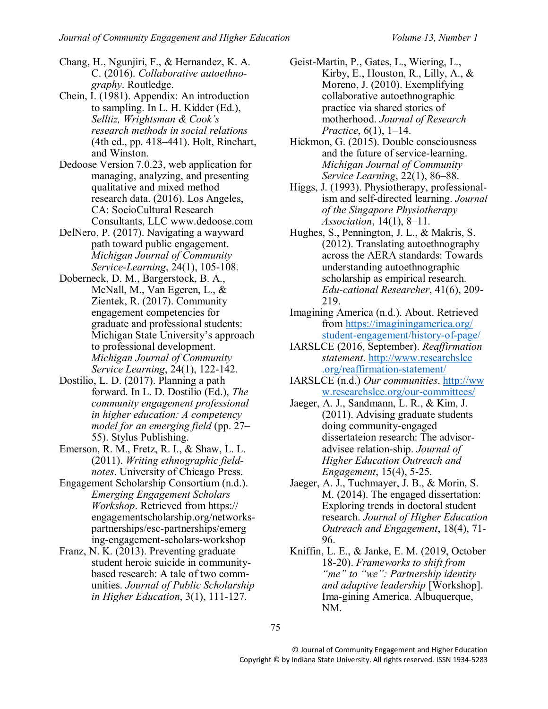Chang, H., Ngunjiri, F., & Hernandez, K. A. C. (2016). *Collaborative autoethnography*. Routledge.

- Chein, I. (1981). Appendix: An introduction to sampling. In L. H. Kidder (Ed.), *Selltiz, Wrightsman & Cook's research methods in social relations* (4th ed., pp. 418–441). Holt, Rinehart, and Winston.
- Dedoose Version 7.0.23, web application for managing, analyzing, and presenting qualitative and mixed method research data. (2016). Los Angeles, CA: SocioCultural Research Consultants, LLC www.dedoose.com
- DelNero, P. (2017). Navigating a wayward path toward public engagement. *Michigan Journal of Community Service-Learning*, 24(1), 105-108.
- Doberneck, D. M., Bargerstock, B. A., McNall, M., Van Egeren, L., & Zientek, R. (2017). Community engagement competencies for graduate and professional students: Michigan State University's approach to professional development. *Michigan Journal of Community Service Learning*, 24(1), 122-142.
- Dostilio, L. D. (2017). Planning a path forward. In L. D. Dostilio (Ed.), *The community engagement professional in higher education: A competency model for an emerging field* (pp. 27– 55). Stylus Publishing.
- Emerson, R. M., Fretz, R. I., & Shaw, L. L. (2011). *Writing ethnographic fieldnotes*. University of Chicago Press.
- Engagement Scholarship Consortium (n.d.). *Emerging Engagement Scholars Workshop*. Retrieved from https:// engagementscholarship.org/networkspartnerships/esc-partnerships/emerg ing-engagement-scholars-workshop
- Franz, N. K. (2013). Preventing graduate student heroic suicide in communitybased research: A tale of two communities. *Journal of Public Scholarship in Higher Education*, 3(1), 111-127.
- Geist-Martin, P., Gates, L., Wiering, L., Kirby, E., Houston, R., Lilly, A., & Moreno, J. (2010). Exemplifying collaborative autoethnographic practice via shared stories of motherhood. *Journal of Research Practice*, 6(1), 1–14.
- Hickmon, G. (2015). Double consciousness and the future of service-learning. *Michigan Journal of Community Service Learning*, 22(1), 86–88.
- Higgs, J. (1993). Physiotherapy, professionalism and self-directed learning. *Journal of the Singapore Physiotherapy Association*, 14(1), 8–11.
- Hughes, S., Pennington, J. L., & Makris, S. (2012). Translating autoethnography across the AERA standards: Towards understanding autoethnographic scholarship as empirical research. *Edu-cational Researcher*, 41(6), 209- 219.
- Imagining America (n.d.). About. Retrieved from<https://imaginingamerica.org/> student-engagement/history-of-page/
- IARSLCE (2016, September). *Reaffirmation statement*. [http://www.researchslce](http://www.researchslce/) .org/reaffirmation-statement/
- IARSLCE (n.d.) *Our communities*. http://ww w.researchslce.org/our-committees/
- Jaeger, A. J., Sandmann, L. R., & Kim, J. (2011). Advising graduate students doing community-engaged dissertateion research: The advisoradvisee relation-ship. *Journal of Higher Education Outreach and Engagement*, 15(4), 5-25.
- Jaeger, A. J., Tuchmayer, J. B., & Morin, S. M. (2014). The engaged dissertation: Exploring trends in doctoral student research. *Journal of Higher Education Outreach and Engagement*, 18(4), 71- 96.
- Kniffin, L. E., & Janke, E. M. (2019, October 18-20). *Frameworks to shift from "me" to "we": Partnership identity and adaptive leadership* [Workshop]. Ima-gining America. Albuquerque, NM.

75

© Journal of Community Engagement and Higher Education Copyright © by Indiana State University. All rights reserved. ISSN 1934-5283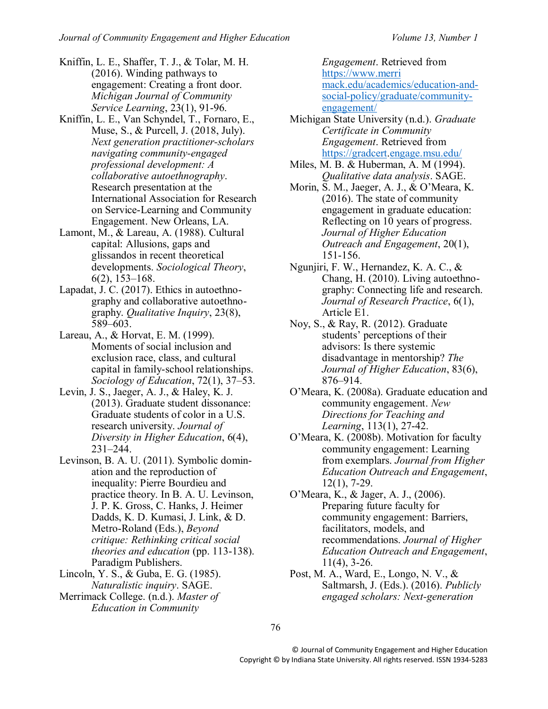- Kniffin, L. E., Shaffer, T. J., & Tolar, M. H. (2016). Winding pathways to engagement: Creating a front door. *Michigan Journal of Community Service Learning*, 23(1), 91-96.
- Kniffin, L. E., Van Schyndel, T., Fornaro, E., Muse, S., & Purcell, J. (2018, July). *Next generation practitioner-scholars navigating community-engaged professional development: A collaborative autoethnography*. Research presentation at the International Association for Research on Service-Learning and Community Engagement. New Orleans, LA.
- Lamont, M., & Lareau, A. (1988). Cultural capital: Allusions, gaps and glissandos in recent theoretical developments. *Sociological Theory*, 6(2), 153–168.
- Lapadat, J. C. (2017). Ethics in autoethnography and collaborative autoethnography. *Qualitative Inquiry*, 23(8), 589–603.
- Lareau, A., & Horvat, E. M. (1999). Moments of social inclusion and exclusion race, class, and cultural capital in family-school relationships. *Sociology of Education*, 72(1), 37–53.
- Levin, J. S., Jaeger, A. J., & Haley, K. J. (2013). Graduate student dissonance: Graduate students of color in a U.S. research university. *Journal of Diversity in Higher Education*, 6(4), 231–244.
- Levinson, B. A. U. (2011). Symbolic domination and the reproduction of inequality: Pierre Bourdieu and practice theory. In B. A. U. Levinson, J. P. K. Gross, C. Hanks, J. Heimer Dadds, K. D. Kumasi, J. Link, & D. Metro-Roland (Eds.), *Beyond critique: Rethinking critical social theories and education* (pp. 113-138). Paradigm Publishers.
- Lincoln, Y. S., & Guba, E. G. (1985). *Naturalistic inquiry*. SAGE. Merrimack College. (n.d.). *Master of Education in Community*

*Engagement*. Retrieved from [https://www.merri](https://www.merri/) mack.edu/academics/education-andsocial-policy/graduate/communityengagement/

- Michigan State University (n.d.). *Graduate Certificate in Community Engagement*. Retrieved from [https://gradcert.](https://gradcert/)engage.msu.edu/
- Miles, M. B. & Huberman, A. M (1994). *Qualitative data analysis*. SAGE.
- Morin, S. M., Jaeger, A. J., & O'Meara, K. (2016). The state of community engagement in graduate education: Reflecting on 10 years of progress. *Journal of Higher Education Outreach and Engagement*, 20(1), 151-156.
- Ngunjiri, F. W., Hernandez, K. A. C., & Chang, H. (2010). Living autoethnography: Connecting life and research. *Journal of Research Practice*, 6(1), Article E1.
- Noy, S., & Ray, R. (2012). Graduate students' perceptions of their advisors: Is there systemic disadvantage in mentorship? *The Journal of Higher Education*, 83(6), 876–914.
- O'Meara, K. (2008a). Graduate education and community engagement. *New Directions for Teaching and Learning*, 113(1), 27-42.
- O'Meara, K. (2008b). Motivation for faculty community engagement: Learning from exemplars. *Journal from Higher Education Outreach and Engagement*, 12(1), 7-29.
- O'Meara, K., & Jager, A. J., (2006). Preparing future faculty for community engagement: Barriers, facilitators, models, and recommendations. *Journal of Higher Education Outreach and Engagement*, 11(4), 3-26.
- Post, M. A., Ward, E., Longo, N. V., & Saltmarsh, J. (Eds.). (2016). *Publicly engaged scholars: Next-generation*